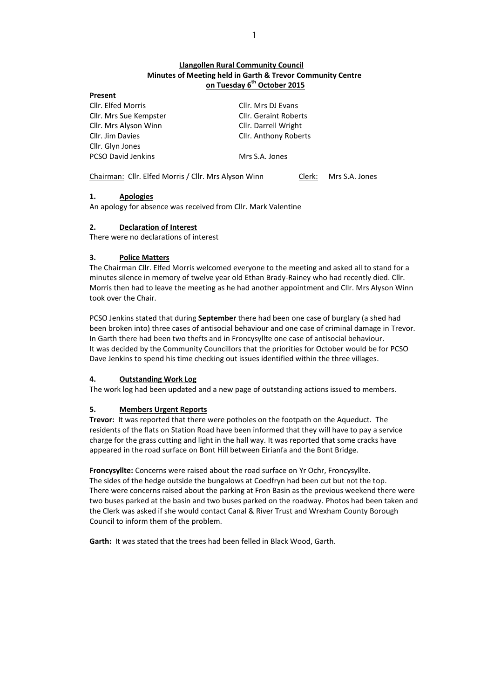# **Llangollen Rural Community Council Minutes of Meeting held in Garth & Trevor Community Centre on Tuesday 6 th October 2015**

| Present                |                  |
|------------------------|------------------|
| Cllr. Elfed Morris     | Cllr. Mrs DJ Eva |
| Cllr. Mrs Sue Kempster | Cllr. Geraint Ro |
| Cllr. Mrs Alyson Winn  | Cllr. Darrell Wr |
| Cllr. Jim Davies       | Cllr. Anthony F  |
| Cllr. Glyn Jones       |                  |
| PCSO David Jenkins     | Mrs S.A. Jones   |

r. Mrs DJ Evans r. Geraint Roberts r. Darrell Wright r. Anthony Roberts

Chairman: Cllr. Elfed Morris / Cllr. Mrs Alyson Winn Clerk: Mrs S.A. Jones

# **1. Apologies**

An apology for absence was received from Cllr. Mark Valentine

# **2. Declaration of Interest**

There were no declarations of interest

# **3. Police Matters**

The Chairman Cllr. Elfed Morris welcomed everyone to the meeting and asked all to stand for a minutes silence in memory of twelve year old Ethan Brady-Rainey who had recently died. Cllr. Morris then had to leave the meeting as he had another appointment and Cllr. Mrs Alyson Winn took over the Chair.

PCSO Jenkins stated that during **September** there had been one case of burglary (a shed had been broken into) three cases of antisocial behaviour and one case of criminal damage in Trevor. In Garth there had been two thefts and in Froncysyllte one case of antisocial behaviour. It was decided by the Community Councillors that the priorities for October would be for PCSO Dave Jenkins to spend his time checking out issues identified within the three villages.

# **4. Outstanding Work Log**

The work log had been updated and a new page of outstanding actions issued to members.

# **5. Members Urgent Reports**

**Trevor:** It was reported that there were potholes on the footpath on the Aqueduct. The residents of the flats on Station Road have been informed that they will have to pay a service charge for the grass cutting and light in the hall way. It was reported that some cracks have appeared in the road surface on Bont Hill between Eirianfa and the Bont Bridge.

**Froncysyllte:** Concerns were raised about the road surface on Yr Ochr, Froncysyllte. The sides of the hedge outside the bungalows at Coedfryn had been cut but not the top. There were concerns raised about the parking at Fron Basin as the previous weekend there were two buses parked at the basin and two buses parked on the roadway. Photos had been taken and the Clerk was asked if she would contact Canal & River Trust and Wrexham County Borough Council to inform them of the problem.

**Garth:** It was stated that the trees had been felled in Black Wood, Garth.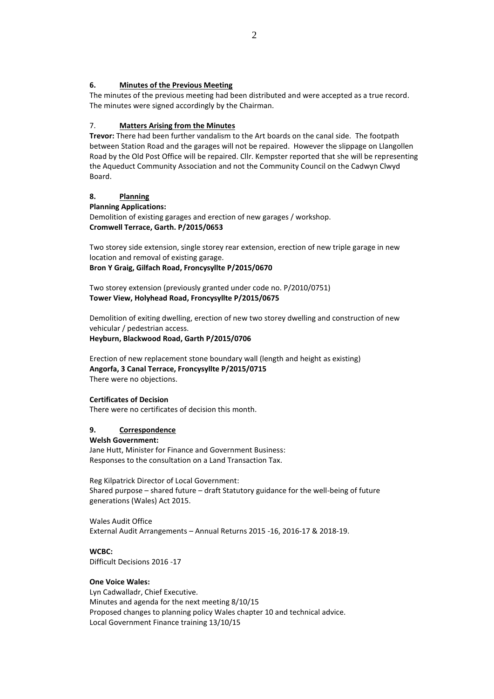### **6. Minutes of the Previous Meeting**

The minutes of the previous meeting had been distributed and were accepted as a true record. The minutes were signed accordingly by the Chairman.

# 7. **Matters Arising from the Minutes**

**Trevor:** There had been further vandalism to the Art boards on the canal side. The footpath between Station Road and the garages will not be repaired. However the slippage on Llangollen Road by the Old Post Office will be repaired. Cllr. Kempster reported that she will be representing the Aqueduct Community Association and not the Community Council on the Cadwyn Clwyd Board.

### **8. Planning**

**Planning Applications:** Demolition of existing garages and erection of new garages / workshop. **Cromwell Terrace, Garth. P/2015/0653** 

Two storey side extension, single storey rear extension, erection of new triple garage in new location and removal of existing garage.

**Bron Y Graig, Gilfach Road, Froncysyllte P/2015/0670**

Two storey extension (previously granted under code no. P/2010/0751) **Tower View, Holyhead Road, Froncysyllte P/2015/0675**

Demolition of exiting dwelling, erection of new two storey dwelling and construction of new vehicular / pedestrian access.

**Heyburn, Blackwood Road, Garth P/2015/0706**

Erection of new replacement stone boundary wall (length and height as existing) **Angorfa, 3 Canal Terrace, Froncysyllte P/2015/0715** There were no objections.

### **Certificates of Decision**

There were no certificates of decision this month.

### **9. Correspondence**

#### **Welsh Government:**

Jane Hutt, Minister for Finance and Government Business: Responses to the consultation on a Land Transaction Tax.

Reg Kilpatrick Director of Local Government: Shared purpose – shared future – draft Statutory guidance for the well-being of future generations (Wales) Act 2015.

Wales Audit Office External Audit Arrangements – Annual Returns 2015 -16, 2016-17 & 2018-19.

**WCBC:** Difficult Decisions 2016 -17

### **One Voice Wales:**

Lyn Cadwalladr, Chief Executive. Minutes and agenda for the next meeting 8/10/15 Proposed changes to planning policy Wales chapter 10 and technical advice. Local Government Finance training 13/10/15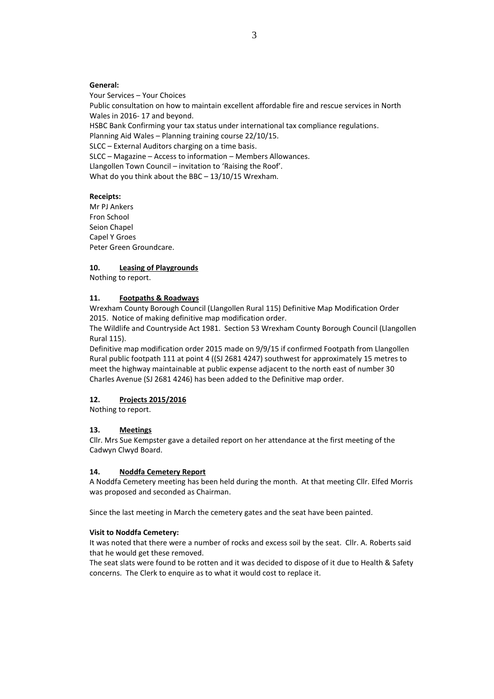#### **General:**

Your Services – Your Choices Public consultation on how to maintain excellent affordable fire and rescue services in North Wales in 2016- 17 and beyond. HSBC Bank Confirming your tax status under international tax compliance regulations. Planning Aid Wales – Planning training course 22/10/15. SLCC – External Auditors charging on a time basis. SLCC – Magazine – Access to information – Members Allowances. Llangollen Town Council – invitation to 'Raising the Roof'. What do you think about the BBC – 13/10/15 Wrexham.

### **Receipts:**

Mr PJ Ankers Fron School Seion Chapel Capel Y Groes Peter Green Groundcare.

### **10. Leasing of Playgrounds**

Nothing to report.

#### **11. Footpaths & Roadways**

Wrexham County Borough Council (Llangollen Rural 115) Definitive Map Modification Order 2015. Notice of making definitive map modification order.

The Wildlife and Countryside Act 1981. Section 53 Wrexham County Borough Council (Llangollen Rural 115).

Definitive map modification order 2015 made on 9/9/15 if confirmed Footpath from Llangollen Rural public footpath 111 at point 4 ((SJ 2681 4247) southwest for approximately 15 metres to meet the highway maintainable at public expense adjacent to the north east of number 30 Charles Avenue (SJ 2681 4246) has been added to the Definitive map order.

### **12. Projects 2015/2016**

Nothing to report.

### **13. Meetings**

Cllr. Mrs Sue Kempster gave a detailed report on her attendance at the first meeting of the Cadwyn Clwyd Board.

### **14. Noddfa Cemetery Report**

A Noddfa Cemetery meeting has been held during the month. At that meeting Cllr. Elfed Morris was proposed and seconded as Chairman.

Since the last meeting in March the cemetery gates and the seat have been painted.

#### **Visit to Noddfa Cemetery:**

It was noted that there were a number of rocks and excess soil by the seat. Cllr. A. Roberts said that he would get these removed.

The seat slats were found to be rotten and it was decided to dispose of it due to Health & Safety concerns. The Clerk to enquire as to what it would cost to replace it.